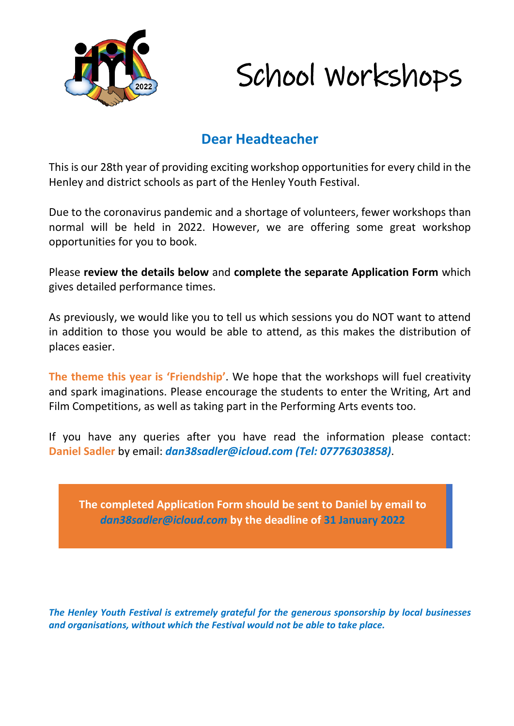

### **Dear Headteacher**

This is our 28th year of providing exciting workshop opportunities for every child in the Henley and district schools as part of the Henley Youth Festival.

Due to the coronavirus pandemic and a shortage of volunteers, fewer workshops than normal will be held in 2022. However, we are offering some great workshop opportunities for you to book.

Please **review the details below** and **complete the separate Application Form** which gives detailed performance times.

As previously, we would like you to tell us which sessions you do NOT want to attend in addition to those you would be able to attend, as this makes the distribution of places easier.

**The theme this year is 'Friendship'**. We hope that the workshops will fuel creativity and spark imaginations. Please encourage the students to enter the Writing, Art and Film Competitions, as well as taking part in the Performing Arts events too.

If you have any queries after you have read the information please contact: **Daniel Sadler** by email: *dan38sadler@icloud.com (Tel: 07776303858)*.

**The completed Application Form should be sent to Daniel by email to**  *dan38sadler@icloud.com* **by the deadline of 31 January 2022**

*The Henley Youth Festival is extremely grateful for the generous sponsorship by local businesses and organisations, without which the Festival would not be able to take place.*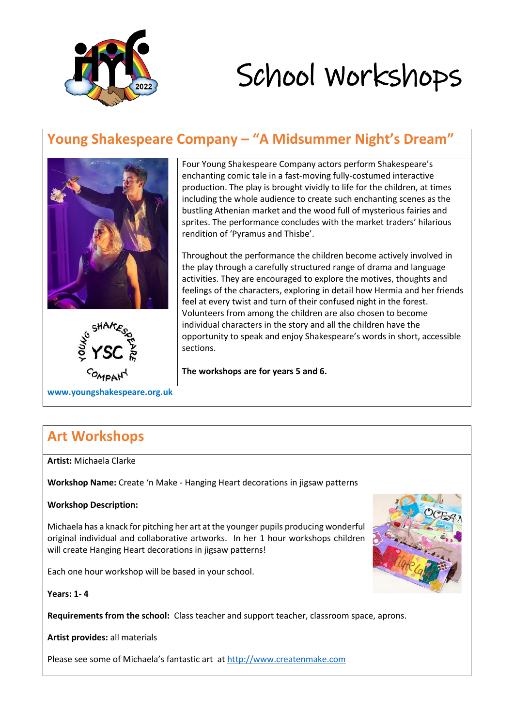

### **Young Shakespeare Company – "A Midsummer Night's Dream"**



enchanting comic tale in a fast-moving fully-costumed interactive production. The play is brought vividly to life for the children, at times including the whole audience to create such enchanting scenes as the bustling Athenian market and the wood full of mysterious fairies and sprites. The performance concludes with the market traders' hilarious rendition of 'Pyramus and Thisbe'.

Four Young Shakespeare Company actors perform Shakespeare's

Throughout the performance the children become actively involved in the play through a carefully structured range of drama and language activities. They are encouraged to explore the motives, thoughts and feelings of the characters, exploring in detail how Hermia and her friends feel at every twist and turn of their confused night in the forest. Volunteers from among the children are also chosen to become individual characters in the story and all the children have the opportunity to speak and enjoy Shakespeare's words in short, accessible sections.

**The workshops are for years 5 and 6.**

**www.youngshakespeare.org.uk**

### **Art Workshops**

**Artist:** Michaela Clarke

**Workshop Name:** Create 'n Make - Hanging Heart decorations in jigsaw patterns

#### **Workshop Description:**

Michaela has a knack for pitching her art at the younger pupils producing wonderful original individual and collaborative artworks. In her 1 hour workshops children will create Hanging Heart decorations in jigsaw patterns!

Each one hour workshop will be based in your school.



**Years: 1- 4**

**Requirements from the school:** Class teacher and support teacher, classroom space, aprons.

**Artist provides:** all materials

Please see some of Michaela's fantastic art at [http://www.createnmake.com](http://www.createnmake.com/)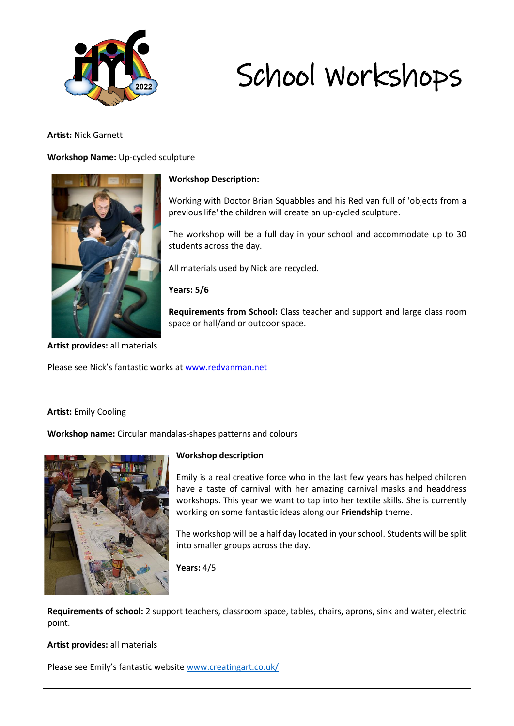

#### **Artist:** Nick Garnett

#### **Workshop Name:** Up-cycled sculpture



#### **Workshop Description:**

Working with Doctor Brian Squabbles and his Red van full of 'objects from a previous life' the children will create an up-cycled sculpture.

The workshop will be a full day in your school and accommodate up to 30 students across the day.

All materials used by Nick are recycled.

**Years: 5/6**

**Requirements from School:** Class teacher and support and large class room space or hall/and or outdoor space.

**Artist provides:** all materials

Please see Nick's fantastic works at www.redvanman.net

#### **Artist:** Emily Cooling

**Workshop name:** Circular mandalas-shapes patterns and colours



#### **Workshop description**

Emily is a real creative force who in the last few years has helped children have a taste of carnival with her amazing carnival masks and headdress workshops. This year we want to tap into her textile skills. She is currently working on some fantastic ideas along our **Friendship** theme.

The workshop will be a half day located in your school. Students will be split into smaller groups across the day.

**Years:** 4/5

**Requirements of school:** 2 support teachers, classroom space, tables, chairs, aprons, sink and water, electric point.

**Artist provides:** all materials

Please see Emily's fantastic website [www.creatingart.co.uk/](http://www.creatingart.co.uk/)